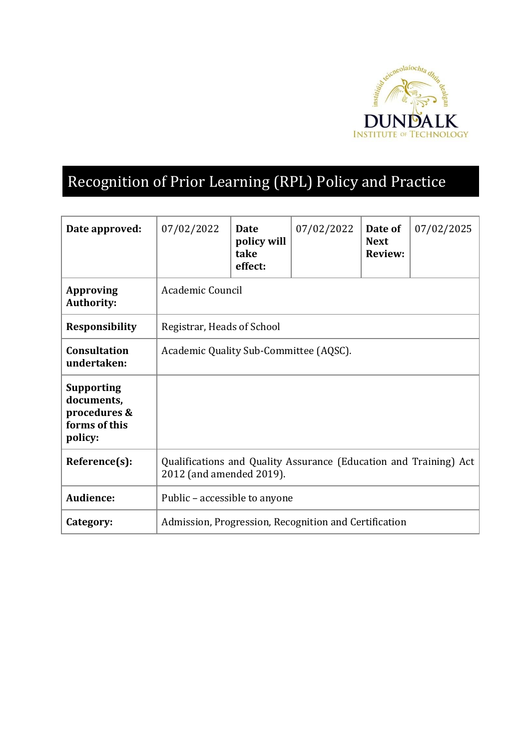

# Recognition of Prior Learning (RPL) Policy and Practice

| Date approved:                                                              | 07/02/2022                                                                                    | <b>Date</b><br>policy will<br>take<br>effect: | 07/02/2022 | Date of<br><b>Next</b><br><b>Review:</b> | 07/02/2025 |
|-----------------------------------------------------------------------------|-----------------------------------------------------------------------------------------------|-----------------------------------------------|------------|------------------------------------------|------------|
| <b>Approving</b><br><b>Authority:</b>                                       | Academic Council                                                                              |                                               |            |                                          |            |
| <b>Responsibility</b>                                                       | Registrar, Heads of School                                                                    |                                               |            |                                          |            |
| <b>Consultation</b><br>undertaken:                                          | Academic Quality Sub-Committee (AQSC).                                                        |                                               |            |                                          |            |
| <b>Supporting</b><br>documents,<br>procedures &<br>forms of this<br>policy: |                                                                                               |                                               |            |                                          |            |
| Reference(s):                                                               | Qualifications and Quality Assurance (Education and Training) Act<br>2012 (and amended 2019). |                                               |            |                                          |            |
| <b>Audience:</b>                                                            | Public – accessible to anyone                                                                 |                                               |            |                                          |            |
| Category:                                                                   | Admission, Progression, Recognition and Certification                                         |                                               |            |                                          |            |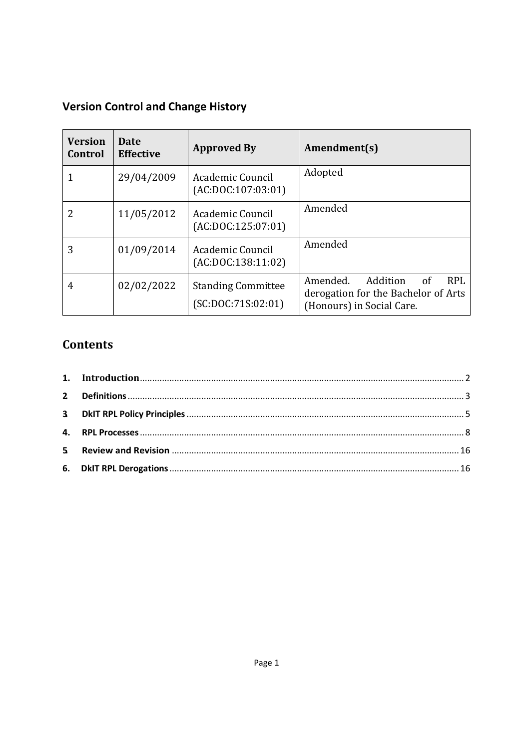# **Version Control and Change History**

| <b>Version</b><br>Control | Date<br><b>Effective</b> | <b>Approved By</b>                              | Amendment(s)                                                                                                  |
|---------------------------|--------------------------|-------------------------------------------------|---------------------------------------------------------------------------------------------------------------|
| 1                         | 29/04/2009               | Academic Council<br>(AC:DOC:107:03:01)          | Adopted                                                                                                       |
| 2                         | 11/05/2012               | Academic Council<br>(AC:DOC:125:07:01)          | Amended                                                                                                       |
| 3                         | 01/09/2014               | Academic Council<br>(AC:DOC:138:11:02)          | Amended                                                                                                       |
| 4                         | 02/02/2022               | <b>Standing Committee</b><br>(SC:DOC:71S:02:01) | Amended.<br>Addition<br><b>RPL</b><br>-of<br>derogation for the Bachelor of Arts<br>(Honours) in Social Care. |

# **Contents**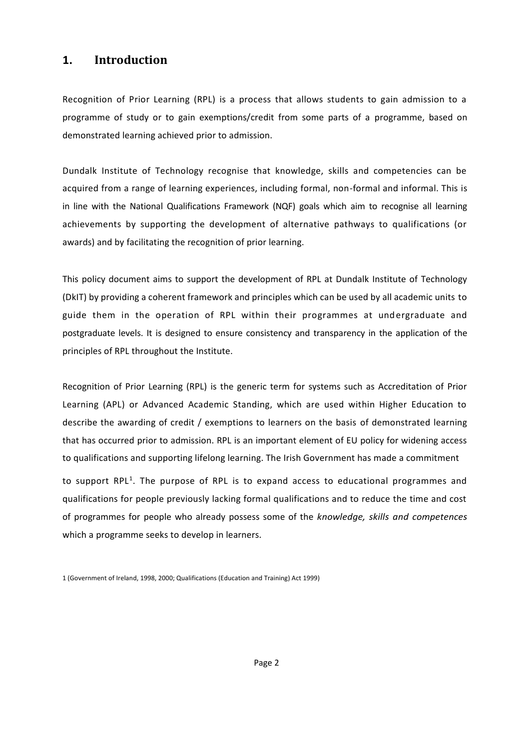# <span id="page-2-0"></span>**1. Introduction**

Recognition of Prior Learning (RPL) is a process that allows students to gain admission to a programme of study or to gain exemptions/credit from some parts of a programme, based on demonstrated learning achieved prior to admission.

Dundalk Institute of Technology recognise that knowledge, skills and competencies can be acquired from a range of learning experiences, including formal, non-formal and informal. This is in line with the National Qualifications Framework (NQF) goals which aim to recognise all learning achievements by supporting the development of alternative pathways to qualifications (or awards) and by facilitating the recognition of prior learning.

This policy document aims to support the development of RPL at Dundalk Institute of Technology (DkIT) by providing a coherent framework and principles which can be used by all academic units to guide them in the operation of RPL within their programmes at undergraduate and postgraduate levels. It is designed to ensure consistency and transparency in the application of the principles of RPL throughout the Institute.

Recognition of Prior Learning (RPL) is the generic term for systems such as Accreditation of Prior Learning (APL) or Advanced Academic Standing, which are used within Higher Education to describe the awarding of credit / exemptions to learners on the basis of demonstrated learning that has occurred prior to admission. RPL is an important element of EU policy for widening access to qualifications and supporting lifelong learning. The Irish Government has made a commitment to support RPL<sup>1</sup>. The purpose of RPL is to expand access to educational programmes and

qualifications for people previously lacking formal qualifications and to reduce the time and cost of programmes for people who already possess some of the *knowledge, skills and competences*  which a programme seeks to develop in learners.

<sup>1 (</sup>Government of Ireland, 1998, 2000; Qualifications (Education and Training) Act 1999)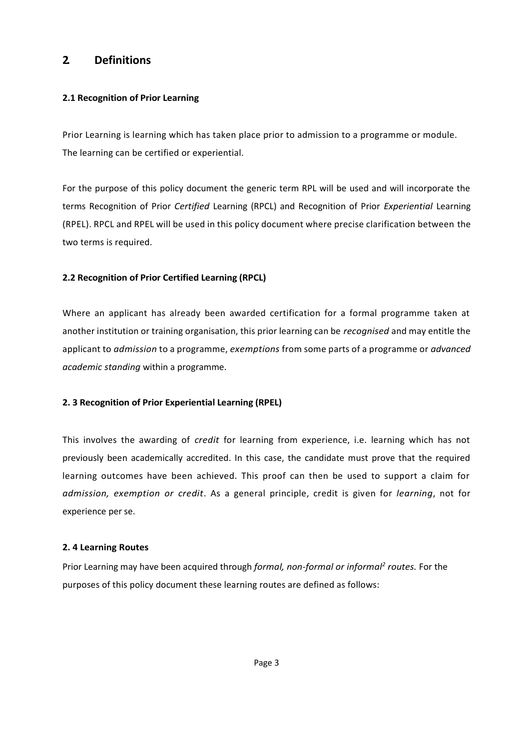# <span id="page-3-0"></span>**2. Definitions**

## **2.1 Recognition of Prior Learning**

Prior Learning is learning which has taken place prior to admission to a programme or module. The learning can be certified or experiential.

For the purpose of this policy document the generic term RPL will be used and will incorporate the terms Recognition of Prior *Certified* Learning (RPCL) and Recognition of Prior *Experiential* Learning (RPEL). RPCL and RPEL will be used in this policy document where precise clarification between the two terms is required.

# **2.2 Recognition of Prior Certified Learning (RPCL)**

Where an applicant has already been awarded certification for a formal programme taken at another institution or training organisation, this prior learning can be *recognised* and may entitle the applicant to *admission* to a programme, *exemptions* from some parts of a programme or *advanced academic standing* within a programme.

# **2. 3 Recognition of Prior Experiential Learning (RPEL)**

This involves the awarding of *credit* for learning from experience, i.e. learning which has not previously been academically accredited. In this case, the candidate must prove that the required learning outcomes have been achieved. This proof can then be used to support a claim for *admission, exemption or credit*. As a general principle, credit is given for *learning*, not for experience per se.

#### **2. 4 Learning Routes**

Prior Learning may have been acquired through *formal, non-formal or informal<sup>2</sup> routes.* For the purposes of this policy document these learning routes are defined as follows: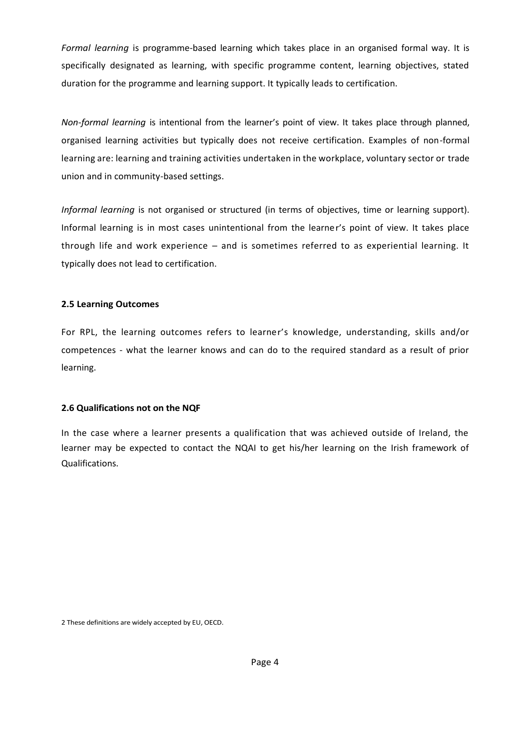*Formal learning* is programme-based learning which takes place in an organised formal way. It is specifically designated as learning, with specific programme content, learning objectives, stated duration for the programme and learning support. It typically leads to certification.

*Non-formal learning* is intentional from the learner's point of view. It takes place through planned, organised learning activities but typically does not receive certification. Examples of non-formal learning are: learning and training activities undertaken in the workplace, voluntary sector or trade union and in community-based settings.

*Informal learning* is not organised or structured (in terms of objectives, time or learning support). Informal learning is in most cases unintentional from the learner's point of view. It takes place through life and work experience – and is sometimes referred to as experiential learning. It typically does not lead to certification.

## **2.5 Learning Outcomes**

For RPL, the learning outcomes refers to learner's knowledge, understanding, skills and/or competences - what the learner knows and can do to the required standard as a result of prior learning.

# **2.6 Qualifications not on the NQF**

In the case where a learner presents a qualification that was achieved outside of Ireland, the learner may be expected to contact the NQAI to get his/her learning on the Irish framework of Qualifications.

2 These definitions are widely accepted by EU, OECD.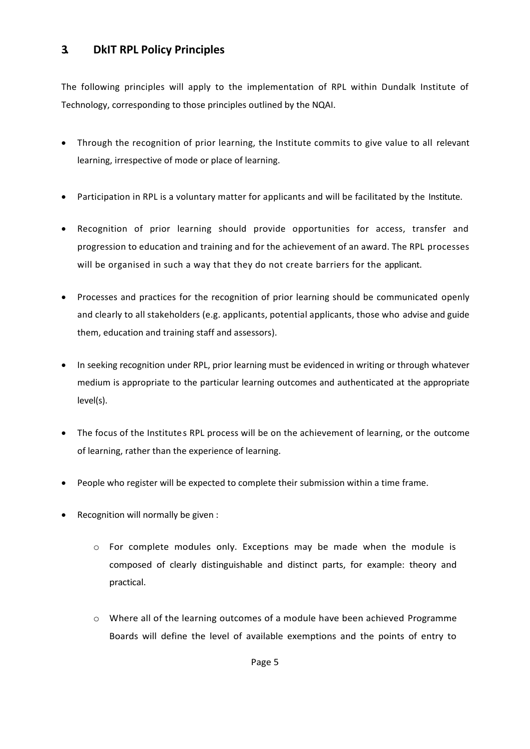# <span id="page-5-0"></span>**3. DkIT RPL Policy Principles**

The following principles will apply to the implementation of RPL within Dundalk Institute of Technology, corresponding to those principles outlined by the NQAI.

- Through the recognition of prior learning, the Institute commits to give value to all relevant learning, irrespective of mode or place of learning.
- Participation in RPL is a voluntary matter for applicants and will be facilitated by the Institute.
- Recognition of prior learning should provide opportunities for access, transfer and progression to education and training and for the achievement of an award. The RPL processes will be organised in such a way that they do not create barriers for the applicant.
- Processes and practices for the recognition of prior learning should be communicated openly and clearly to all stakeholders (e.g. applicants, potential applicants, those who advise and guide them, education and training staff and assessors).
- In seeking recognition under RPL, prior learning must be evidenced in writing or through whatever medium is appropriate to the particular learning outcomes and authenticated at the appropriate level(s).
- The focus of the Institutes RPL process will be on the achievement of learning, or the outcome of learning, rather than the experience of learning.
- People who register will be expected to complete their submission within a time frame.
- Recognition will normally be given :
	- $\circ$  For complete modules only. Exceptions may be made when the module is composed of clearly distinguishable and distinct parts, for example: theory and practical.
	- o Where all of the learning outcomes of a module have been achieved Programme Boards will define the level of available exemptions and the points of entry to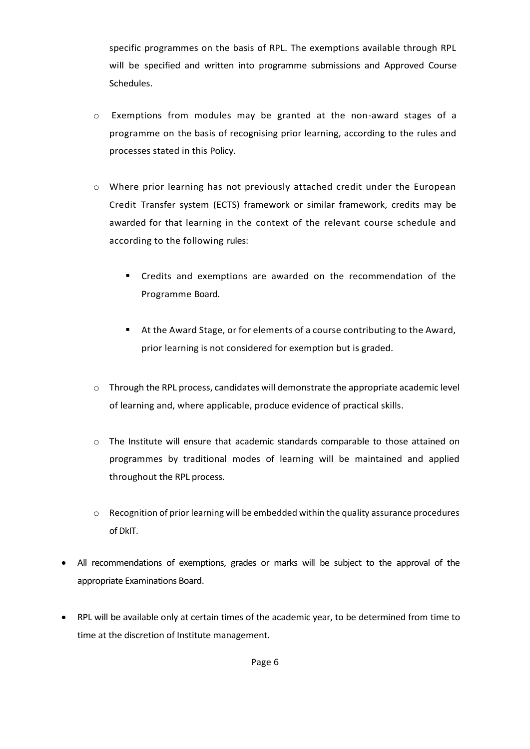specific programmes on the basis of RPL. The exemptions available through RPL will be specified and written into programme submissions and Approved Course Schedules.

- $\circ$  Exemptions from modules may be granted at the non-award stages of a programme on the basis of recognising prior learning, according to the rules and processes stated in this Policy.
- o Where prior learning has not previously attached credit under the European Credit Transfer system (ECTS) framework or similar framework, credits may be awarded for that learning in the context of the relevant course schedule and according to the following rules:
	- Credits and exemptions are awarded on the recommendation of the Programme Board.
	- At the Award Stage, or for elements of a course contributing to the Award, prior learning is not considered for exemption but is graded.
- o Through the RPL process, candidates will demonstrate the appropriate academic level of learning and, where applicable, produce evidence of practical skills.
- o The Institute will ensure that academic standards comparable to those attained on programmes by traditional modes of learning will be maintained and applied throughout the RPL process.
- $\circ$  Recognition of prior learning will be embedded within the quality assurance procedures of DkIT.
- All recommendations of exemptions, grades or marks will be subject to the approval of the appropriate Examinations Board.
- RPL will be available only at certain times of the academic year, to be determined from time to time at the discretion of Institute management.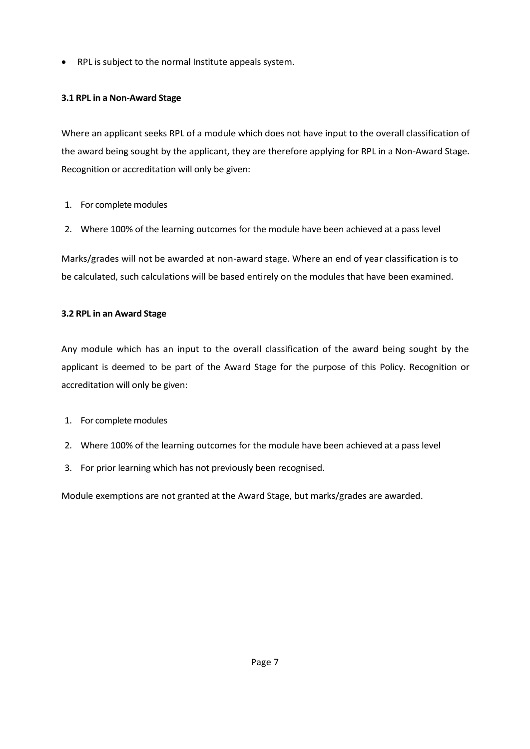RPL is subject to the normal Institute appeals system.

# **3.1 RPL in a Non-Award Stage**

Where an applicant seeks RPL of a module which does not have input to the overall classification of the award being sought by the applicant, they are therefore applying for RPL in a Non-Award Stage. Recognition or accreditation will only be given:

- 1. For complete modules
- 2. Where 100% of the learning outcomes for the module have been achieved at a pass level

Marks/grades will not be awarded at non-award stage. Where an end of year classification is to be calculated, such calculations will be based entirely on the modules that have been examined.

# **3.2 RPL in an Award Stage**

Any module which has an input to the overall classification of the award being sought by the applicant is deemed to be part of the Award Stage for the purpose of this Policy. Recognition or accreditation will only be given:

- 1. For complete modules
- 2. Where 100% of the learning outcomes for the module have been achieved at a pass level
- 3. For prior learning which has not previously been recognised.

Module exemptions are not granted at the Award Stage, but marks/grades are awarded.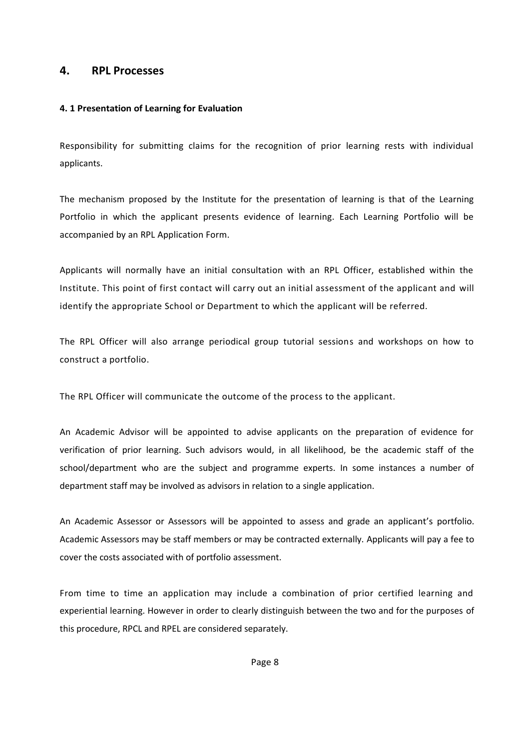# <span id="page-8-0"></span>**4. RPL Processes**

# **4. 1 Presentation of Learning for Evaluation**

Responsibility for submitting claims for the recognition of prior learning rests with individual applicants.

The mechanism proposed by the Institute for the presentation of learning is that of the Learning Portfolio in which the applicant presents evidence of learning. Each Learning Portfolio will be accompanied by an RPL Application Form.

Applicants will normally have an initial consultation with an RPL Officer, established within the Institute. This point of first contact will carry out an initial assessment of the applicant and will identify the appropriate School or Department to which the applicant will be referred.

The RPL Officer will also arrange periodical group tutorial sessions and workshops on how to construct a portfolio.

The RPL Officer will communicate the outcome of the process to the applicant.

An Academic Advisor will be appointed to advise applicants on the preparation of evidence for verification of prior learning. Such advisors would, in all likelihood, be the academic staff of the school/department who are the subject and programme experts. In some instances a number of department staff may be involved as advisors in relation to a single application.

An Academic Assessor or Assessors will be appointed to assess and grade an applicant's portfolio. Academic Assessors may be staff members or may be contracted externally. Applicants will pay a fee to cover the costs associated with of portfolio assessment.

From time to time an application may include a combination of prior certified learning and experiential learning. However in order to clearly distinguish between the two and for the purposes of this procedure, RPCL and RPEL are considered separately.

Page 8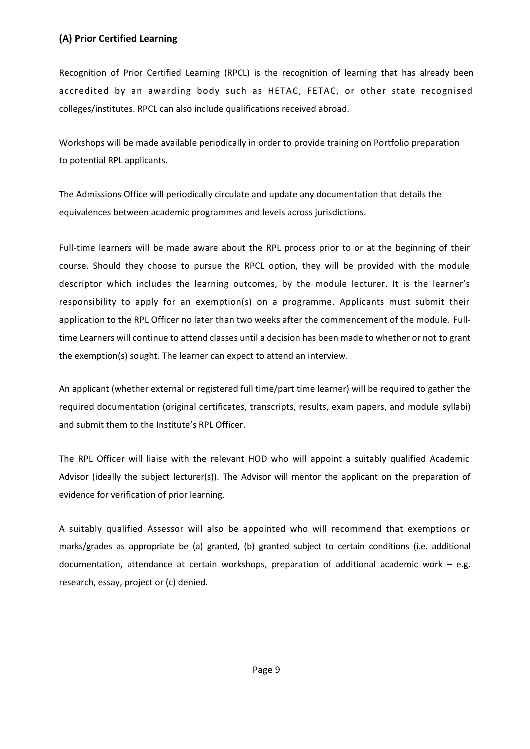# **(A) Prior Certified Learning**

Recognition of Prior Certified Learning (RPCL) is the recognition of learning that has already been accredited by an awarding body such as HETAC, FETAC, or other state recognised colleges/institutes. RPCL can also include qualifications received abroad.

Workshops will be made available periodically in order to provide training on Portfolio preparation to potential RPL applicants.

The Admissions Office will periodically circulate and update any documentation that details the equivalences between academic programmes and levels across jurisdictions.

Full-time learners will be made aware about the RPL process prior to or at the beginning of their course. Should they choose to pursue the RPCL option, they will be provided with the module descriptor which includes the learning outcomes, by the module lecturer. It is the learner's responsibility to apply for an exemption(s) on a programme. Applicants must submit their application to the RPL Officer no later than two weeks after the commencement of the module. Fulltime Learners will continue to attend classes until a decision has been made to whether or not to grant the exemption(s) sought. The learner can expect to attend an interview.

An applicant (whether external or registered full time/part time learner) will be required to gather the required documentation (original certificates, transcripts, results, exam papers, and module syllabi) and submit them to the Institute's RPL Officer.

The RPL Officer will liaise with the relevant HOD who will appoint a suitably qualified Academic Advisor (ideally the subject lecturer(s)). The Advisor will mentor the applicant on the preparation of evidence for verification of prior learning.

A suitably qualified Assessor will also be appointed who will recommend that exemptions or marks/grades as appropriate be (a) granted, (b) granted subject to certain conditions (i.e. additional documentation, attendance at certain workshops, preparation of additional academic work – e.g. research, essay, project or (c) denied.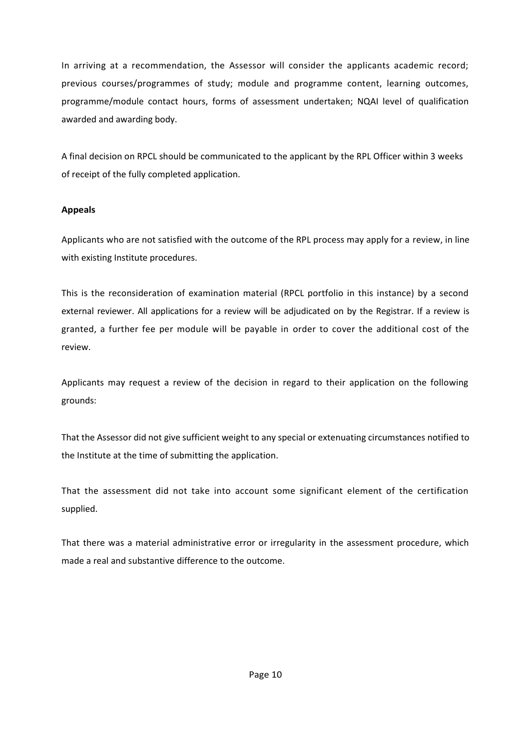In arriving at a recommendation, the Assessor will consider the applicants academic record; previous courses/programmes of study; module and programme content, learning outcomes, programme/module contact hours, forms of assessment undertaken; NQAI level of qualification awarded and awarding body.

A final decision on RPCL should be communicated to the applicant by the RPL Officer within 3 weeks of receipt of the fully completed application.

## **Appeals**

Applicants who are not satisfied with the outcome of the RPL process may apply for a review, in line with existing Institute procedures.

This is the reconsideration of examination material (RPCL portfolio in this instance) by a second external reviewer. All applications for a review will be adjudicated on by the Registrar. If a review is granted, a further fee per module will be payable in order to cover the additional cost of the review.

Applicants may request a review of the decision in regard to their application on the following grounds:

That the Assessor did not give sufficient weight to any special or extenuating circumstances notified to the Institute at the time of submitting the application.

That the assessment did not take into account some significant element of the certification supplied.

That there was a material administrative error or irregularity in the assessment procedure, which made a real and substantive difference to the outcome.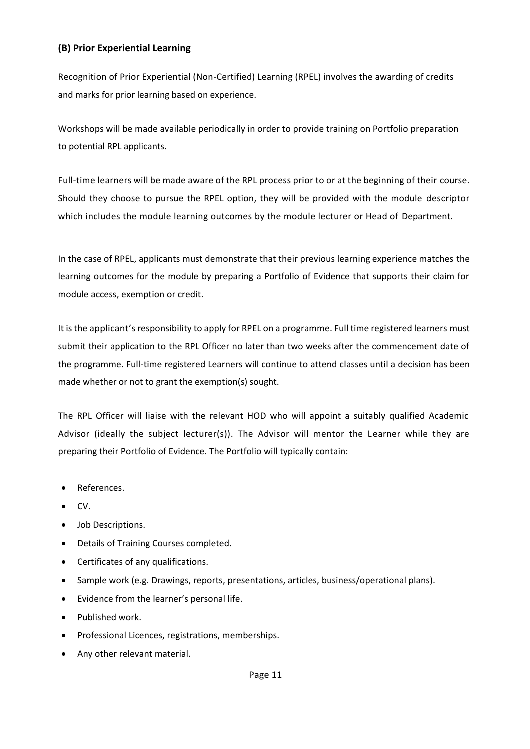# **(B) Prior Experiential Learning**

Recognition of Prior Experiential (Non-Certified) Learning (RPEL) involves the awarding of credits and marks for prior learning based on experience.

Workshops will be made available periodically in order to provide training on Portfolio preparation to potential RPL applicants.

Full-time learners will be made aware of the RPL process prior to or at the beginning of their course. Should they choose to pursue the RPEL option, they will be provided with the module descriptor which includes the module learning outcomes by the module lecturer or Head of Department.

In the case of RPEL, applicants must demonstrate that their previous learning experience matches the learning outcomes for the module by preparing a Portfolio of Evidence that supports their claim for module access, exemption or credit.

It is the applicant's responsibility to apply for RPEL on a programme. Full time registered learners must submit their application to the RPL Officer no later than two weeks after the commencement date of the programme. Full-time registered Learners will continue to attend classes until a decision has been made whether or not to grant the exemption(s) sought.

The RPL Officer will liaise with the relevant HOD who will appoint a suitably qualified Academic Advisor (ideally the subject lecturer(s)). The Advisor will mentor the Learner while they are preparing their Portfolio of Evidence. The Portfolio will typically contain:

- References.
- CV.
- Job Descriptions.
- Details of Training Courses completed.
- Certificates of any qualifications.
- Sample work (e.g. Drawings, reports, presentations, articles, business/operational plans).
- Evidence from the learner's personal life.
- Published work.
- Professional Licences, registrations, memberships.
- Any other relevant material.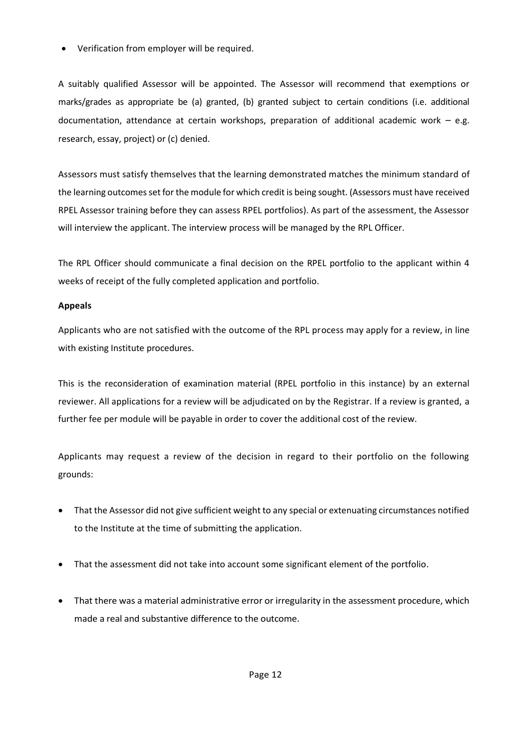Verification from employer will be required.

A suitably qualified Assessor will be appointed. The Assessor will recommend that exemptions or marks/grades as appropriate be (a) granted, (b) granted subject to certain conditions (i.e. additional documentation, attendance at certain workshops, preparation of additional academic work – e.g. research, essay, project) or (c) denied.

Assessors must satisfy themselves that the learning demonstrated matches the minimum standard of the learning outcomes set for the module for which credit is being sought. (Assessors must have received RPEL Assessor training before they can assess RPEL portfolios). As part of the assessment, the Assessor will interview the applicant. The interview process will be managed by the RPL Officer.

The RPL Officer should communicate a final decision on the RPEL portfolio to the applicant within 4 weeks of receipt of the fully completed application and portfolio.

## **Appeals**

Applicants who are not satisfied with the outcome of the RPL process may apply for a review, in line with existing Institute procedures.

This is the reconsideration of examination material (RPEL portfolio in this instance) by an external reviewer. All applications for a review will be adjudicated on by the Registrar. If a review is granted, a further fee per module will be payable in order to cover the additional cost of the review.

Applicants may request a review of the decision in regard to their portfolio on the following grounds:

- That the Assessor did not give sufficient weight to any special or extenuating circumstances notified to the Institute at the time of submitting the application.
- That the assessment did not take into account some significant element of the portfolio.
- That there was a material administrative error or irregularity in the assessment procedure, which made a real and substantive difference to the outcome.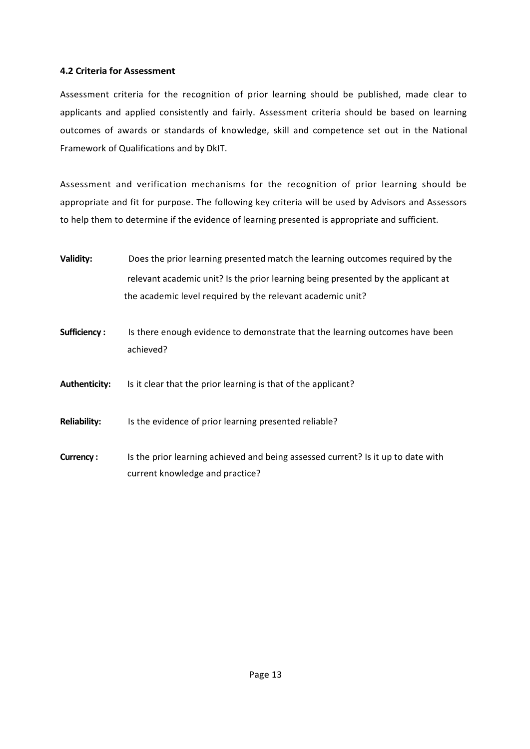## **4.2 Criteria for Assessment**

Assessment criteria for the recognition of prior learning should be published, made clear to applicants and applied consistently and fairly. Assessment criteria should be based on learning outcomes of awards or standards of knowledge, skill and competence set out in the National Framework of Qualifications and by DkIT.

Assessment and verification mechanisms for the recognition of prior learning should be appropriate and fit for purpose. The following key criteria will be used by Advisors and Assessors to help them to determine if the evidence of learning presented is appropriate and sufficient.

- **Validity:** Does the prior learning presented match the learning outcomes required by the relevant academic unit? Is the prior learning being presented by the applicant at the academic level required by the relevant academic unit?
- **Sufficiency :** Is there enough evidence to demonstrate that the learning outcomes have been achieved?

**Authenticity:** Is it clear that the prior learning is that of the applicant?

**Reliability:** Is the evidence of prior learning presented reliable?

**Currency :** Is the prior learning achieved and being assessed current? Is it up to date with current knowledge and practice?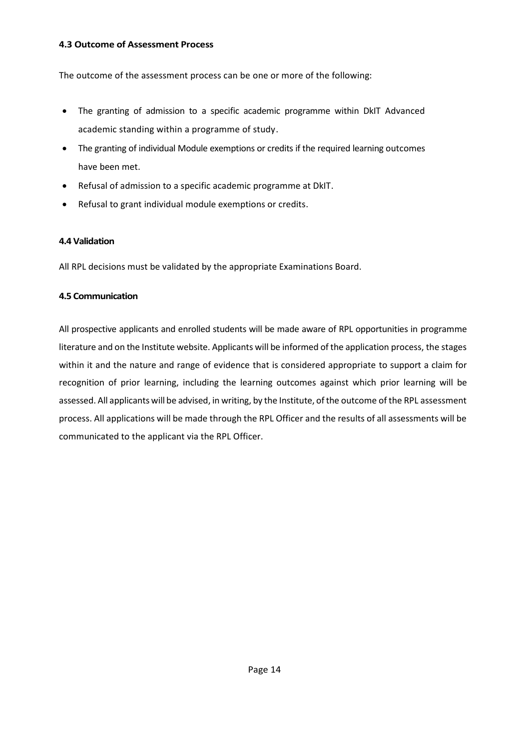#### **4.3 Outcome of Assessment Process**

The outcome of the assessment process can be one or more of the following:

- The granting of admission to a specific academic programme within DkIT Advanced academic standing within a programme of study.
- The granting of individual Module exemptions or credits if the required learning outcomes have been met.
- Refusal of admission to a specific academic programme at DkIT.
- Refusal to grant individual module exemptions or credits.

## **4.4 Validation**

All RPL decisions must be validated by the appropriate Examinations Board.

# **4.5 Communication**

All prospective applicants and enrolled students will be made aware of RPL opportunities in programme literature and on the Institute website. Applicants will be informed of the application process, the stages within it and the nature and range of evidence that is considered appropriate to support a claim for recognition of prior learning, including the learning outcomes against which prior learning will be assessed. All applicants will be advised, in writing, by the Institute, of the outcome of the RPL assessment process. All applications will be made through the RPL Officer and the results of all assessments will be communicated to the applicant via the RPL Officer.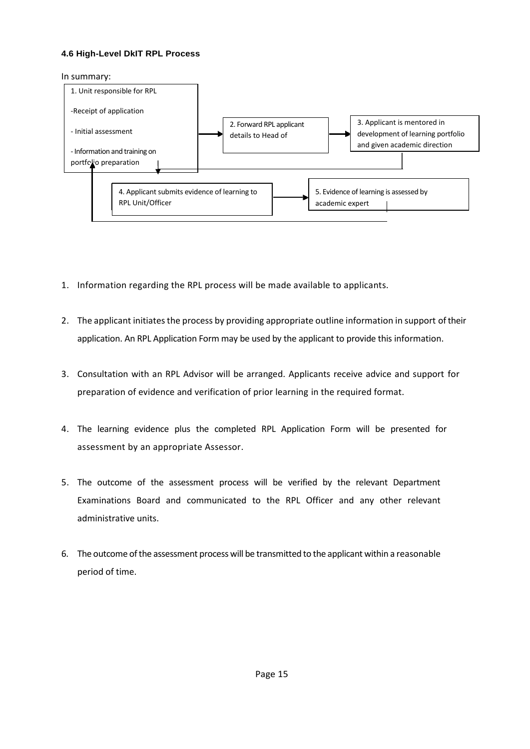#### **4.6 High-Level DkIT RPL Process**

In summary:



- 1. Information regarding the RPL process will be made available to applicants.
- 2. The applicant initiates the process by providing appropriate outline information in support of their application. An RPL Application Form may be used by the applicant to provide this information.
- 3. Consultation with an RPL Advisor will be arranged. Applicants receive advice and support for preparation of evidence and verification of prior learning in the required format.
- 4. The learning evidence plus the completed RPL Application Form will be presented for assessment by an appropriate Assessor.
- 5. The outcome of the assessment process will be verified by the relevant Department Examinations Board and communicated to the RPL Officer and any other relevant administrative units.
- 6. The outcome of the assessment process will be transmitted to the applicant within a reasonable period of time.